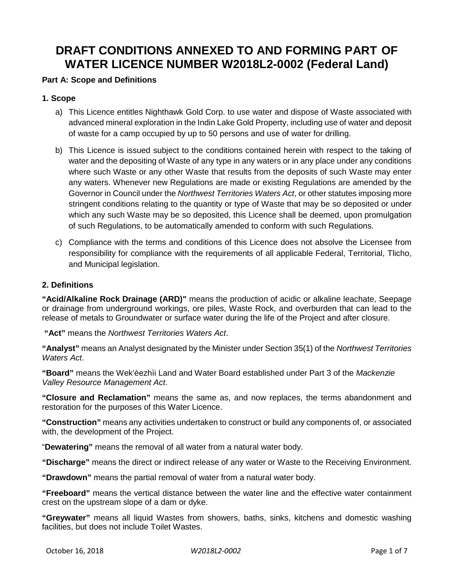# **DRAFT CONDITIONS ANNEXED TO AND FORMING PART OF WATER LICENCE NUMBER W2018L2-0002 (Federal Land)**

## **Part A: Scope and Definitions**

## **1. Scope**

- a) This Licence entitles Nighthawk Gold Corp. to use water and dispose of Waste associated with advanced mineral exploration in the Indin Lake Gold Property, including use of water and deposit of waste for a camp occupied by up to 50 persons and use of water for drilling.
- b) This Licence is issued subject to the conditions contained herein with respect to the taking of water and the depositing of Waste of any type in any waters or in any place under any conditions where such Waste or any other Waste that results from the deposits of such Waste may enter any waters. Whenever new Regulations are made or existing Regulations are amended by the Governor in Council under the *Northwest Territories Waters Act*, or other statutes imposing more stringent conditions relating to the quantity or type of Waste that may be so deposited or under which any such Waste may be so deposited, this Licence shall be deemed, upon promulgation of such Regulations, to be automatically amended to conform with such Regulations.
- c) Compliance with the terms and conditions of this Licence does not absolve the Licensee from responsibility for compliance with the requirements of all applicable Federal, Territorial, Tlicho, and Municipal legislation.

## **2. Definitions**

**"Acid/Alkaline Rock Drainage (ARD)"** means the production of acidic or alkaline leachate, Seepage or drainage from underground workings, ore piles, Waste Rock, and overburden that can lead to the release of metals to Groundwater or surface water during the life of the Project and after closure.

**"Act"** means the *Northwest Territories Waters Act*.

**"Analyst"** means an Analyst designated by the Minister under Section 35(1) of the *Northwest Territories Waters Act*.

**"Board"** means the Wek'èezhìi Land and Water Board established under Part 3 of the *Mackenzie Valley Resource Management Act*.

**"Closure and Reclamation"** means the same as, and now replaces, the terms abandonment and restoration for the purposes of this Water Licence.

**"Construction"** means any activities undertaken to construct or build any components of, or associated with, the development of the Project.

"**Dewatering"** means the removal of all water from a natural water body.

**"Discharge"** means the direct or indirect release of any water or Waste to the Receiving Environment.

**"Drawdown"** means the partial removal of water from a natural water body.

**"Freeboard"** means the vertical distance between the water line and the effective water containment crest on the upstream slope of a dam or dyke.

**"Greywater"** means all liquid Wastes from showers, baths, sinks, kitchens and domestic washing facilities, but does not include Toilet Wastes.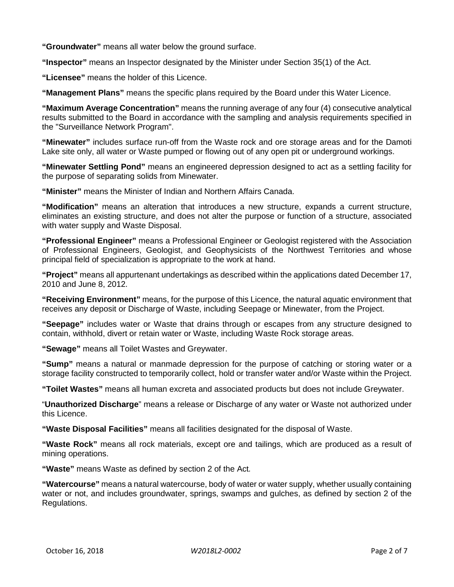**"Groundwater"** means all water below the ground surface.

**"Inspector"** means an Inspector designated by the Minister under Section 35(1) of the Act.

**"Licensee"** means the holder of this Licence.

**"Management Plans"** means the specific plans required by the Board under this Water Licence.

**"Maximum Average Concentration"** means the running average of any four (4) consecutive analytical results submitted to the Board in accordance with the sampling and analysis requirements specified in the "Surveillance Network Program".

**"Minewater"** includes surface run-off from the Waste rock and ore storage areas and for the Damoti Lake site only, all water or Waste pumped or flowing out of any open pit or underground workings.

**"Minewater Settling Pond"** means an engineered depression designed to act as a settling facility for the purpose of separating solids from Minewater.

**"Minister"** means the Minister of Indian and Northern Affairs Canada.

**"Modification"** means an alteration that introduces a new structure, expands a current structure, eliminates an existing structure, and does not alter the purpose or function of a structure, associated with water supply and Waste Disposal.

**"Professional Engineer"** means a Professional Engineer or Geologist registered with the Association of Professional Engineers, Geologist, and Geophysicists of the Northwest Territories and whose principal field of specialization is appropriate to the work at hand.

**"Project"** means all appurtenant undertakings as described within the applications dated December 17, 2010 and June 8, 2012.

**"Receiving Environment"** means, for the purpose of this Licence, the natural aquatic environment that receives any deposit or Discharge of Waste, including Seepage or Minewater, from the Project.

**"Seepage"** includes water or Waste that drains through or escapes from any structure designed to contain, withhold, divert or retain water or Waste, including Waste Rock storage areas.

**"Sewage"** means all Toilet Wastes and Greywater.

**"Sump"** means a natural or manmade depression for the purpose of catching or storing water or a storage facility constructed to temporarily collect, hold or transfer water and/or Waste within the Project.

**"Toilet Wastes"** means all human excreta and associated products but does not include Greywater.

"**Unauthorized Discharge**" means a release or Discharge of any water or Waste not authorized under this Licence.

**"Waste Disposal Facilities"** means all facilities designated for the disposal of Waste.

**"Waste Rock"** means all rock materials, except ore and tailings, which are produced as a result of mining operations.

**"Waste"** means Waste as defined by section 2 of the Act*.*

**"Watercourse"** means a natural watercourse, body of water or water supply, whether usually containing water or not, and includes groundwater, springs, swamps and gulches, as defined by section 2 of the Regulations.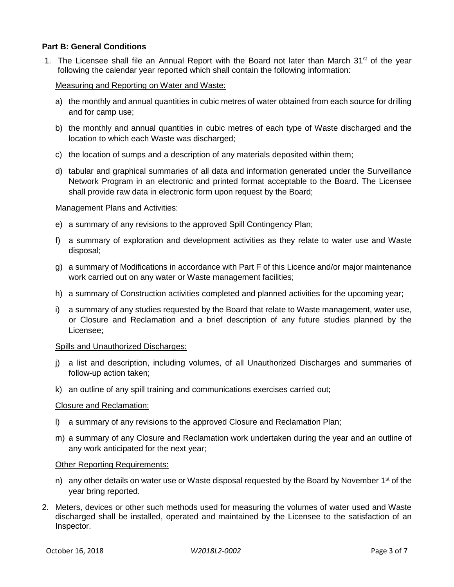## **Part B: General Conditions**

1. The Licensee shall file an Annual Report with the Board not later than March  $31<sup>st</sup>$  of the year following the calendar year reported which shall contain the following information:

### Measuring and Reporting on Water and Waste:

- a) the monthly and annual quantities in cubic metres of water obtained from each source for drilling and for camp use;
- b) the monthly and annual quantities in cubic metres of each type of Waste discharged and the location to which each Waste was discharged;
- c) the location of sumps and a description of any materials deposited within them;
- d) tabular and graphical summaries of all data and information generated under the Surveillance Network Program in an electronic and printed format acceptable to the Board. The Licensee shall provide raw data in electronic form upon request by the Board;

#### Management Plans and Activities:

- e) a summary of any revisions to the approved Spill Contingency Plan;
- f) a summary of exploration and development activities as they relate to water use and Waste disposal;
- g) a summary of Modifications in accordance with Part F of this Licence and/or major maintenance work carried out on any water or Waste management facilities;
- h) a summary of Construction activities completed and planned activities for the upcoming year;
- i) a summary of any studies requested by the Board that relate to Waste management, water use, or Closure and Reclamation and a brief description of any future studies planned by the Licensee;

#### Spills and Unauthorized Discharges:

- j) a list and description, including volumes, of all Unauthorized Discharges and summaries of follow-up action taken;
- k) an outline of any spill training and communications exercises carried out;

#### Closure and Reclamation:

- l) a summary of any revisions to the approved Closure and Reclamation Plan;
- m) a summary of any Closure and Reclamation work undertaken during the year and an outline of any work anticipated for the next year;

#### Other Reporting Requirements:

- n) any other details on water use or Waste disposal requested by the Board by November  $1<sup>st</sup>$  of the year bring reported.
- 2. Meters, devices or other such methods used for measuring the volumes of water used and Waste discharged shall be installed, operated and maintained by the Licensee to the satisfaction of an Inspector.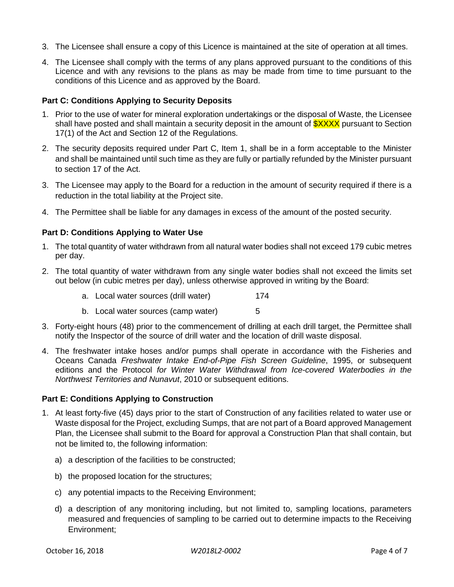- 3. The Licensee shall ensure a copy of this Licence is maintained at the site of operation at all times.
- 4. The Licensee shall comply with the terms of any plans approved pursuant to the conditions of this Licence and with any revisions to the plans as may be made from time to time pursuant to the conditions of this Licence and as approved by the Board.

## **Part C: Conditions Applying to Security Deposits**

- 1. Prior to the use of water for mineral exploration undertakings or the disposal of Waste, the Licensee shall have posted and shall maintain a security deposit in the amount of  $\frac{3XXXX}{2}$  pursuant to Section 17(1) of the Act and Section 12 of the Regulations.
- 2. The security deposits required under Part C, Item 1, shall be in a form acceptable to the Minister and shall be maintained until such time as they are fully or partially refunded by the Minister pursuant to section 17 of the Act.
- 3. The Licensee may apply to the Board for a reduction in the amount of security required if there is a reduction in the total liability at the Project site.
- 4. The Permittee shall be liable for any damages in excess of the amount of the posted security.

## **Part D: Conditions Applying to Water Use**

- 1. The total quantity of water withdrawn from all natural water bodies shall not exceed 179 cubic metres per day.
- 2. The total quantity of water withdrawn from any single water bodies shall not exceed the limits set out below (in cubic metres per day), unless otherwise approved in writing by the Board:
	- a. Local water sources (drill water) 174
	- b. Local water sources (camp water) 5
- 3. Forty-eight hours (48) prior to the commencement of drilling at each drill target, the Permittee shall notify the Inspector of the source of drill water and the location of drill waste disposal.
- 4. The freshwater intake hoses and/or pumps shall operate in accordance with the Fisheries and Oceans Canada *Freshwater Intake End-of-Pipe Fish Screen Guideline*, 1995, or subsequent editions and the Protocol *for Winter Water Withdrawal from Ice-covered Waterbodies in the Northwest Territories and Nunavut*, 2010 or subsequent editions.

## **Part E: Conditions Applying to Construction**

- 1. At least forty-five (45) days prior to the start of Construction of any facilities related to water use or Waste disposal for the Project, excluding Sumps, that are not part of a Board approved Management Plan, the Licensee shall submit to the Board for approval a Construction Plan that shall contain, but not be limited to, the following information:
	- a) a description of the facilities to be constructed;
	- b) the proposed location for the structures;
	- c) any potential impacts to the Receiving Environment;
	- d) a description of any monitoring including, but not limited to, sampling locations, parameters measured and frequencies of sampling to be carried out to determine impacts to the Receiving Environment;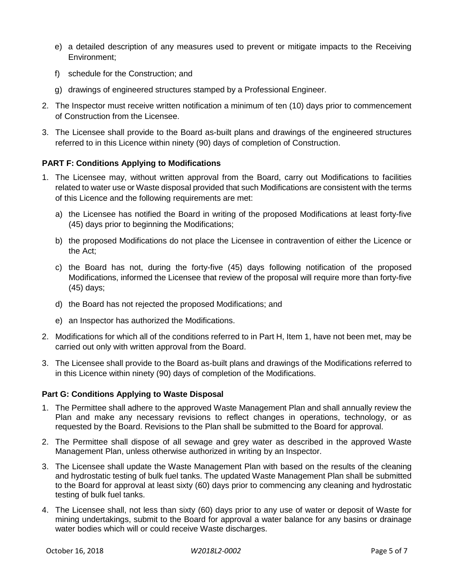- e) a detailed description of any measures used to prevent or mitigate impacts to the Receiving Environment;
- f) schedule for the Construction; and
- g) drawings of engineered structures stamped by a Professional Engineer.
- 2. The Inspector must receive written notification a minimum of ten (10) days prior to commencement of Construction from the Licensee.
- 3. The Licensee shall provide to the Board as-built plans and drawings of the engineered structures referred to in this Licence within ninety (90) days of completion of Construction.

# **PART F: Conditions Applying to Modifications**

- 1. The Licensee may, without written approval from the Board, carry out Modifications to facilities related to water use or Waste disposal provided that such Modifications are consistent with the terms of this Licence and the following requirements are met:
	- a) the Licensee has notified the Board in writing of the proposed Modifications at least forty-five (45) days prior to beginning the Modifications;
	- b) the proposed Modifications do not place the Licensee in contravention of either the Licence or the Act;
	- c) the Board has not, during the forty-five (45) days following notification of the proposed Modifications, informed the Licensee that review of the proposal will require more than forty-five (45) days;
	- d) the Board has not rejected the proposed Modifications; and
	- e) an Inspector has authorized the Modifications.
- 2. Modifications for which all of the conditions referred to in Part H, Item 1, have not been met, may be carried out only with written approval from the Board.
- 3. The Licensee shall provide to the Board as-built plans and drawings of the Modifications referred to in this Licence within ninety (90) days of completion of the Modifications.

## **Part G: Conditions Applying to Waste Disposal**

- 1. The Permittee shall adhere to the approved Waste Management Plan and shall annually review the Plan and make any necessary revisions to reflect changes in operations, technology, or as requested by the Board. Revisions to the Plan shall be submitted to the Board for approval.
- 2. The Permittee shall dispose of all sewage and grey water as described in the approved Waste Management Plan, unless otherwise authorized in writing by an Inspector.
- 3. The Licensee shall update the Waste Management Plan with based on the results of the cleaning and hydrostatic testing of bulk fuel tanks. The updated Waste Management Plan shall be submitted to the Board for approval at least sixty (60) days prior to commencing any cleaning and hydrostatic testing of bulk fuel tanks.
- 4. The Licensee shall, not less than sixty (60) days prior to any use of water or deposit of Waste for mining undertakings, submit to the Board for approval a water balance for any basins or drainage water bodies which will or could receive Waste discharges.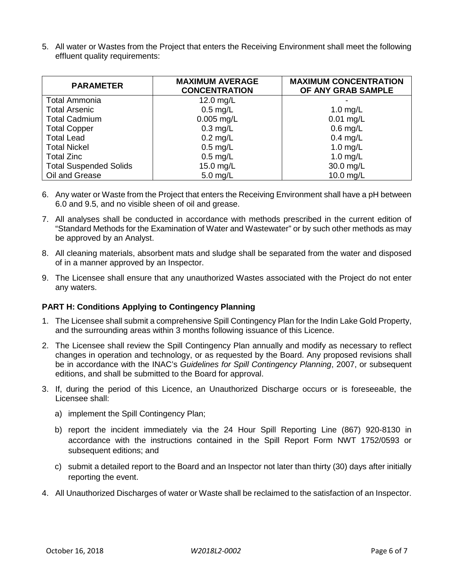5. All water or Wastes from the Project that enters the Receiving Environment shall meet the following effluent quality requirements:

| <b>PARAMETER</b>              | <b>MAXIMUM AVERAGE</b><br><b>CONCENTRATION</b> | <b>MAXIMUM CONCENTRATION</b><br>OF ANY GRAB SAMPLE |
|-------------------------------|------------------------------------------------|----------------------------------------------------|
| <b>Total Ammonia</b>          | 12.0 mg/L                                      |                                                    |
| <b>Total Arsenic</b>          | $0.5$ mg/L                                     | 1.0 $mg/L$                                         |
| <b>Total Cadmium</b>          | $0.005$ mg/L                                   | $0.01$ mg/L                                        |
| <b>Total Copper</b>           | $0.3$ mg/L                                     | $0.6$ mg/L                                         |
| <b>Total Lead</b>             | $0.2$ mg/L                                     | $0.4$ mg/L                                         |
| <b>Total Nickel</b>           | $0.5$ mg/L                                     | 1.0 $mg/L$                                         |
| <b>Total Zinc</b>             | $0.5$ mg/L                                     | 1.0 $mg/L$                                         |
| <b>Total Suspended Solids</b> | 15.0 mg/L                                      | 30.0 mg/L                                          |
| Oil and Grease                | $5.0$ mg/L                                     | $10.0$ mg/L                                        |

- 6. Any water or Waste from the Project that enters the Receiving Environment shall have a pH between 6.0 and 9.5, and no visible sheen of oil and grease.
- 7. All analyses shall be conducted in accordance with methods prescribed in the current edition of "Standard Methods for the Examination of Water and Wastewater" or by such other methods as may be approved by an Analyst.
- 8. All cleaning materials, absorbent mats and sludge shall be separated from the water and disposed of in a manner approved by an Inspector.
- 9. The Licensee shall ensure that any unauthorized Wastes associated with the Project do not enter any waters.

## **PART H: Conditions Applying to Contingency Planning**

- 1. The Licensee shall submit a comprehensive Spill Contingency Plan for the Indin Lake Gold Property, and the surrounding areas within 3 months following issuance of this Licence.
- 2. The Licensee shall review the Spill Contingency Plan annually and modify as necessary to reflect changes in operation and technology, or as requested by the Board. Any proposed revisions shall be in accordance with the INAC's *Guidelines for Spill Contingency Planning*, 2007, or subsequent editions, and shall be submitted to the Board for approval.
- 3. If, during the period of this Licence, an Unauthorized Discharge occurs or is foreseeable, the Licensee shall:
	- a) implement the Spill Contingency Plan;
	- b) report the incident immediately via the 24 Hour Spill Reporting Line (867) 920-8130 in accordance with the instructions contained in the Spill Report Form NWT 1752/0593 or subsequent editions; and
	- c) submit a detailed report to the Board and an Inspector not later than thirty (30) days after initially reporting the event.
- 4. All Unauthorized Discharges of water or Waste shall be reclaimed to the satisfaction of an Inspector.